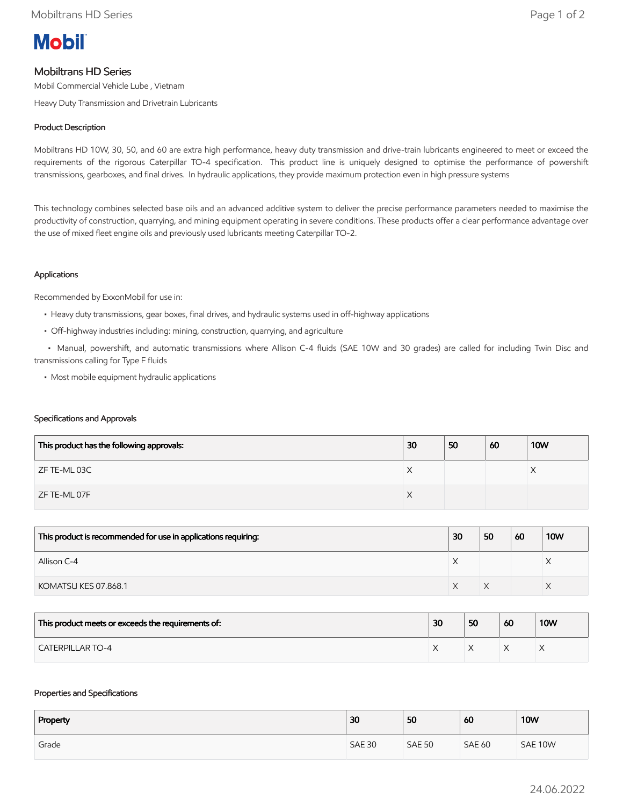

# Mobiltrans HD Series

Mobil Commercial Vehicle Lube , Vietnam

Heavy Duty Transmission and Drivetrain Lubricants

# Product Description

Mobiltrans HD 10W, 30, 50, and 60 are extra high performance, heavy duty transmission and drive-train lubricants engineered to meet or exceed the requirements of the rigorous Caterpillar TO-4 specification. This product line is uniquely designed to optimise the performance of powershift transmissions, gearboxes, and final drives. In hydraulic applications, they provide maximum protection even in high pressure systems

This technology combines selected base oils and an advanced additive system to deliver the precise performance parameters needed to maximise the productivity of construction, quarrying, and mining equipment operating in severe conditions. These products offer a clear performance advantage over the use of mixed fleet engine oils and previously used lubricants meeting Caterpillar TO-2.

## Applications

Recommended by ExxonMobil for use in:

- Heavy duty transmissions, gear boxes, final drives, and hydraulic systems used in off-highway applications
- Off-highway industries including: mining, construction, quarrying, and agriculture

 • Manual, powershift, and automatic transmissions where Allison C-4 fluids (SAE 10W and 30 grades) are called for including Twin Disc and transmissions calling for Type F fluids

• Most mobile equipment hydraulic applications

## Specifications and Approvals

| This product has the following approvals: | 30 | 50 | 60 | <b>10W</b> |
|-------------------------------------------|----|----|----|------------|
| ZF TE-ML 03C                              | ⌒  |    |    |            |
| ZF TE-ML 07F                              | ∧  |    |    |            |

| This product is recommended for use in applications requiring: | 30 | 50 | -60 | <b>10W</b> |
|----------------------------------------------------------------|----|----|-----|------------|
| Allison C-4                                                    |    |    |     |            |
| KOMATSU KES 07.868.1                                           |    |    |     |            |

| This product meets or exceeds the requirements of: | 30 | 50 | 60 | <b>10W</b> |
|----------------------------------------------------|----|----|----|------------|
| <b>CATERPILLAR TO-4</b>                            |    |    |    |            |

## Properties and Specifications

| Property | 30            | 50            | 60            | <b>10W</b> |
|----------|---------------|---------------|---------------|------------|
| Grade    | <b>SAE 30</b> | <b>SAE 50</b> | <b>SAE 60</b> | SAE 10W    |